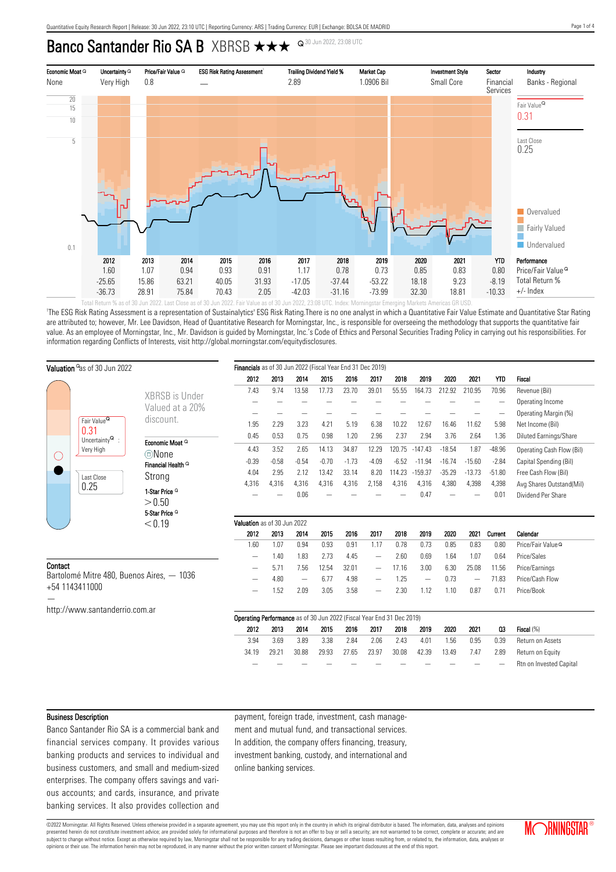# Banco Santander Rio SA B XBRSB  $\star\star\star$  <sup>Q 30 Jun 2022, 23:08 UTC</sup>



'The ESG Risk Rating Assessment is a representation of Sustainalytics' ESG Risk Rating.There is no one analyst in which a Quantitative Fair Value Estimate and Quantitative Star Rating are attributed to; however, Mr. Lee Davidson, Head of Quantitative Research for Morningstar, Inc., is responsible for overseeing the methodology that supports the quantitative fair value. As an employee of Morningstar, Inc., Mr. Davidson is guided by Morningstar, Inc.'s Code of Ethics and Personal Securities Trading Policy in carrying out his responsibilities. For information regarding Conflicts of Interests, visit http://global.morningstar.com/equitydisclosures.

|                                                             | Valuation <sup>o</sup> as of 30 Jun 2022                                 | Financials as of 30 Jun 2022 (Fiscal Year End 31 Dec 2019) |                                                                              |         |                          |         |         |                          |         |           |          |                          |            |                               |
|-------------------------------------------------------------|--------------------------------------------------------------------------|------------------------------------------------------------|------------------------------------------------------------------------------|---------|--------------------------|---------|---------|--------------------------|---------|-----------|----------|--------------------------|------------|-------------------------------|
|                                                             |                                                                          |                                                            | 2012                                                                         | 2013    | 2014                     | 2015    | 2016    | 2017                     | 2018    | 2019      | 2020     | 2021                     | <b>YTD</b> | <b>Fiscal</b>                 |
|                                                             |                                                                          | XBRSB is Under                                             | 7.43                                                                         | 9.74    | 13.58                    | 17.73   | 23.70   | 39.01                    | 55.55   | 164.73    | 212.92   | 210.95                   | 70.96      | Revenue (Bil)                 |
|                                                             |                                                                          |                                                            |                                                                              |         |                          |         |         |                          |         |           |          |                          |            | Operating Income              |
|                                                             |                                                                          | Valued at a 20%                                            |                                                                              |         |                          |         |         |                          |         |           |          |                          |            | Operating Margin (%)          |
|                                                             | Fair Value <sup>Q</sup>                                                  | discount.                                                  | 1.95                                                                         | 2.29    | 3.23                     | 4.21    | 5.19    | 6.38                     | 10.22   | 12.67     | 16.46    | 11.62                    | 5.98       | Net Income (Bil)              |
| (                                                           | 0.31<br>Uncertainty $^{\mathsf{Q}}$ :<br>Very High<br>Last Close<br>0.25 |                                                            | 0.45                                                                         | 0.53    | 0.75                     | 0.98    | 1.20    | 2.96                     | 2.37    | 2.94      | 3.76     | 2.64                     | 1.36       | <b>Diluted Earnings/Share</b> |
|                                                             |                                                                          | Economic Moat Q                                            | 4.43                                                                         | 3.52    | 2.65                     | 14.13   | 34.87   | 12.29                    | 120.75  | $-147.43$ | $-18.54$ | 1.87                     | $-48.96$   | Operating Cash Flow (Bil)     |
|                                                             |                                                                          | ©None<br>Financial Health <sup>Q</sup>                     | $-0.39$                                                                      | $-0.58$ | $-0.54$                  | $-0.70$ | $-1.73$ | $-4.09$                  | $-6.52$ | $-11.94$  | $-16.74$ | $-15.60$                 | $-2.84$    | Capital Spending (Bil)        |
|                                                             |                                                                          |                                                            | 4.04                                                                         | 2.95    | 2.12                     | 13.42   | 33.14   | 8.20                     | 114.23  | $-159.37$ | $-35.29$ | $-13.73$                 | $-51.80$   | Free Cash Flow (Bil)          |
|                                                             |                                                                          | Strong                                                     | 4,316                                                                        | 4,316   | 4,316                    | 4,316   | 4,316   | 2,158                    | 4,316   | 4,316     | 4,380    | 4,398                    | 4,398      | Avg Shares Outstand(Mil)      |
|                                                             |                                                                          | 1-Star Price <sup>Q</sup>                                  |                                                                              |         | 0.06                     |         |         |                          |         | 0.47      |          |                          | 0.01       | Dividend Per Share            |
|                                                             |                                                                          | > 0.50                                                     |                                                                              |         |                          |         |         |                          |         |           |          |                          |            |                               |
|                                                             | 5-Star Price <sup>Q</sup><br>< 0.19                                      |                                                            |                                                                              |         |                          |         |         |                          |         |           |          |                          |            |                               |
|                                                             |                                                                          | Valuation as of 30 Jun 2022                                |                                                                              |         |                          |         |         |                          |         |           |          |                          |            |                               |
|                                                             |                                                                          |                                                            | 2012                                                                         | 2013    | 2014                     | 2015    | 2016    | 2017                     | 2018    | 2019      | 2020     | 2021                     | Current    | Calendar                      |
|                                                             |                                                                          |                                                            | 1.60                                                                         | 1.07    | 0.94                     | 0.93    | 0.91    | 1.17                     | 0.78    | 0.73      | 0.85     | 0.83                     | 0.80       | Price/Fair Value <sup>Q</sup> |
|                                                             |                                                                          |                                                            |                                                                              | 1.40    | 1.83                     | 2.73    | 4.45    | $\qquad \qquad$          | 2.60    | 0.69      | 1.64     | 1.07                     | 0.64       | Price/Sales                   |
| Contact                                                     |                                                                          |                                                            | -                                                                            | 5.71    | 7.56                     | 12.54   | 32.01   | $\qquad \qquad$          | 17.16   | 3.00      | 6.30     | 25.08                    | 11.56      | Price/Earnings                |
| Bartolomé Mitre 480, Buenos Aires, - 1036<br>+54 1143411000 |                                                                          |                                                            |                                                                              | 4.80    | $\overline{\phantom{0}}$ | 6.77    | 4.98    |                          | 1.25    |           | 0.73     | $\overline{\phantom{m}}$ | 71.83      | Price/Cash Flow               |
|                                                             |                                                                          |                                                            |                                                                              | 1.52    | 2.09                     | 3.05    | 3.58    | $\overline{\phantom{0}}$ | 2.30    | 1.12      | 1.10     | 0.87                     | 0.71       | Price/Book                    |
|                                                             |                                                                          |                                                            |                                                                              |         |                          |         |         |                          |         |           |          |                          |            |                               |
|                                                             | http://www.santanderrio.com.ar                                           |                                                            |                                                                              |         |                          |         |         |                          |         |           |          |                          |            |                               |
|                                                             |                                                                          |                                                            | <b>Operating Performance</b> as of 30 Jun 2022 (Fiscal Year End 31 Dec 2019) |         |                          |         |         |                          |         |           |          |                          |            |                               |
|                                                             |                                                                          |                                                            | 2012                                                                         | 2013    | 2014                     | 2015    | 2016    | 2017                     | 2018    | 2019      | 2020     | 2021                     | $_{03}$    | Fiscal (%)                    |
|                                                             |                                                                          |                                                            | 3.94                                                                         | 3.69    | 3.89                     | 3.38    | 2.84    | 2.06                     | 2.43    | 4.01      | 1.56     | 0.95                     | 0.39       | Return on Assets              |
|                                                             |                                                                          |                                                            | 34.19                                                                        | 29.21   | 30.88                    | 29.93   | 27.65   | 23.97                    | 30.08   | 42.39     | 13.49    | 7.47                     | 2.89       | Return on Equity              |
|                                                             |                                                                          |                                                            |                                                                              |         |                          |         |         |                          |         |           |          |                          |            | Rtn on Invested Capital       |

#### Business Description

Banco Santander Rio SA is a commercial bank and financial services company. It provides various banking products and services to individual and business customers, and small and medium-sized enterprises. The company offers savings and various accounts; and cards, insurance, and private banking services. It also provides collection and payment, foreign trade, investment, cash management and mutual fund, and transactional services. In addition, the company offers financing, treasury, investment banking, custody, and international and online banking services.

©2022 Morningstar. All Rights Reserved. Unless otherwise provided in a separate agreement, you may use this report only in the country in which its original distributor is based. The information, data, analyses and opinions presented herein do not constitute investment advice; are provided solely for informational purposes and therefore is not an offer to buy or sell a security; are not warranted to be correct, complete or accurate; and are subject to change without notice. Except as otherwise required by law, Morningstar shall not be responsible for any trading decisions, damages or other losses resulting from, or related to, the information, data, analyses opinions or their use. The information herein may not be reproduced, in any manner without the prior written consent of Morningstar. Please see important disclosures at the end of this report.

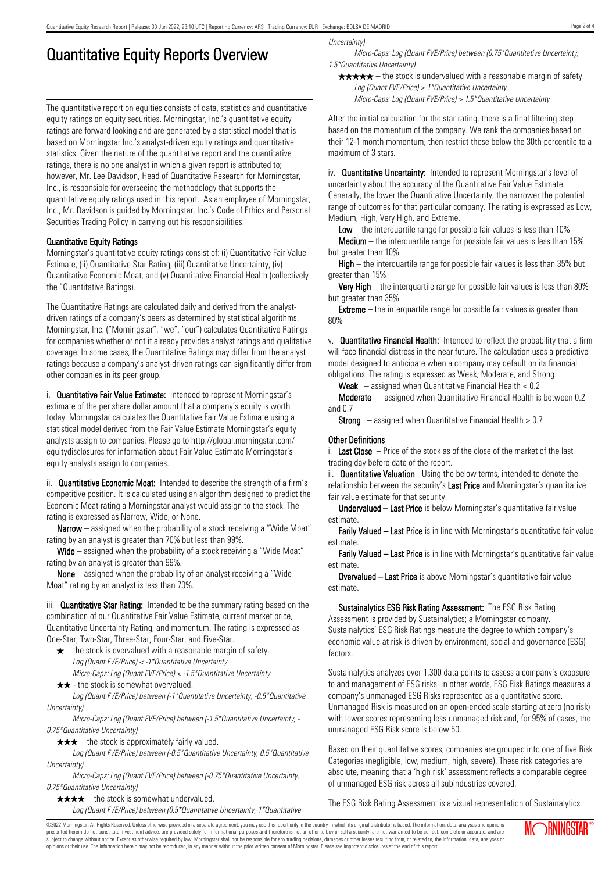## Quantitative Equity Reports Overview

The quantitative report on equities consists of data, statistics and quantitative equity ratings on equity securities. Morningstar, Inc.'s quantitative equity ratings are forward looking and are generated by a statistical model that is based on Morningstar Inc.'s analyst-driven equity ratings and quantitative statistics. Given the nature of the quantitative report and the quantitative ratings, there is no one analyst in which a given report is attributed to; however, Mr. Lee Davidson, Head of Quantitative Research for Morningstar, Inc., is responsible for overseeing the methodology that supports the quantitative equity ratings used in this report. As an employee of Morningstar, Inc., Mr. Davidson is guided by Morningstar, Inc.'s Code of Ethics and Personal Securities Trading Policy in carrying out his responsibilities.

#### Quantitative Equity Ratings

Morningstar's quantitative equity ratings consist of: (i) Quantitative Fair Value Estimate, (ii) Quantitative Star Rating, (iii) Quantitative Uncertainty, (iv) Quantitative Economic Moat, and (v) Quantitative Financial Health (collectively the "Quantitative Ratings).

The Quantitative Ratings are calculated daily and derived from the analystdriven ratings of a company's peers as determined by statistical algorithms. Morningstar, Inc. ("Morningstar", "we", "our") calculates Quantitative Ratings for companies whether or not it already provides analyst ratings and qualitative coverage. In some cases, the Quantitative Ratings may differ from the analyst ratings because a company's analyst-driven ratings can significantly differ from other companies in its peer group.

i. **Quantitative Fair Value Estimate:** Intended to represent Morningstar's estimate of the per share dollar amount that a company's equity is worth today. Morningstar calculates the Quantitative Fair Value Estimate using a statistical model derived from the Fair Value Estimate Morningstar's equity analysts assign to companies. Please go to http://global.morningstar.com/ equitydisclosures for information about Fair Value Estimate Morningstar's equity analysts assign to companies.

ii. **Quantitative Economic Moat:** Intended to describe the strength of a firm's competitive position. It is calculated using an algorithm designed to predict the Economic Moat rating a Morningstar analyst would assign to the stock. The rating is expressed as Narrow, Wide, or None.

**Narrow** – assigned when the probability of a stock receiving a "Wide Moat" rating by an analyst is greater than 70% but less than 99%.

Wide – assigned when the probability of a stock receiving a "Wide Moat" rating by an analyst is greater than 99%.

None – assigned when the probability of an analyst receiving a "Wide Moat" rating by an analyst is less than 70%.

iii. **Quantitative Star Rating:** Intended to be the summary rating based on the combination of our Quantitative Fair Value Estimate, current market price, Quantitative Uncertainty Rating, and momentum. The rating is expressed as One-Star, Two-Star, Three-Star, Four-Star, and Five-Star.

- $\star$  the stock is overvalued with a reasonable margin of safety. Log (Quant FVE/Price) < -1\*Quantitative Uncertainty
- Micro-Caps: Log (Quant FVE/Price) < -1.5\*Quantitative Uncertainty  $\star \star$  - the stock is somewhat overvalued.

Log (Quant FVE/Price) between (-1\*Quantitative Uncertainty, -0.5\*Quantitative Uncertainty)

Micro-Caps: Log (Quant FVE/Price) between (-1.5\*Quantitative Uncertainty, - 0.75\*Quantitative Uncertainty)

 $\star \star \star$  – the stock is approximately fairly valued.

Log (Quant FVE/Price) between (-0.5\*Quantitative Uncertainty, 0.5\*Quantitative Uncertainty)

Micro-Caps: Log (Quant FVE/Price) between (-0.75\*Quantitative Uncertainty, 0.75\*Quantitative Uncertainty)

 $\star \star \star \star$  – the stock is somewhat undervalued.

Log (Quant FVE/Price) between (0.5\*Quantitative Uncertainty, 1\*Quantitative

Uncertainty)

Micro-Caps: Log (Quant FVE/Price) between (0.75\*Quantitative Uncertainty, 1.5\*Quantitative Uncertainty)

 $\star \star \star \star$  – the stock is undervalued with a reasonable margin of safety. Log (Quant FVE/Price) > 1\*Quantitative Uncertainty

Micro-Caps: Log (Quant FVE/Price) > 1.5\*Quantitative Uncertainty

After the initial calculation for the star rating, there is a final filtering step based on the momentum of the company. We rank the companies based on their 12-1 month momentum, then restrict those below the 30th percentile to a maximum of 3 stars.

iv. **Quantitative Uncertainty:** Intended to represent Morningstar's level of uncertainty about the accuracy of the Quantitative Fair Value Estimate. Generally, the lower the Quantitative Uncertainty, the narrower the potential range of outcomes for that particular company. The rating is expressed as Low, Medium, High, Very High, and Extreme.

**Low** – the interguartile range for possible fair values is less than  $10\%$ 

**Medium** – the interquartile range for possible fair values is less than  $15\%$ but greater than 10%

High – the interquartile range for possible fair values is less than 35% but greater than 15%

Very High – the interquartile range for possible fair values is less than 80% but greater than 35%

**Extreme** – the interquartile range for possible fair values is greater than 80%

v. Quantitative Financial Health: Intended to reflect the probability that a firm will face financial distress in the near future. The calculation uses a predictive model designed to anticipate when a company may default on its financial obligations. The rating is expressed as Weak, Moderate, and Strong.

**Weak**  $-$  assigned when Quantitative Financial Health  $< 0.2$ 

Moderate – assigned when Quantitative Financial Health is between 0.2 and 0.7

**Strong** – assigned when Quantitative Financial Health  $> 0.7$ 

#### Other Definitions

i. Last Close  $-$  Price of the stock as of the close of the market of the last trading day before date of the report.

ii. **Quantitative Valuation**– Using the below terms, intended to denote the relationship between the security's Last Price and Morningstar's quantitative fair value estimate for that security.

Undervalued – Last Price is below Morningstar's quantitative fair value estimate.

Farily Valued – Last Price is in line with Morningstar's quantitative fair value estimate.

Farily Valued – Last Price is in line with Morningstar's quantitative fair value estimate.

Overvalued – Last Price is above Morningstar's quantitative fair value estimate.

Sustainalytics ESG Risk Rating Assessment: The ESG Risk Rating Assessment is provided by Sustainalytics; a Morningstar company. Sustainalytics' ESG Risk Ratings measure the degree to which company's economic value at risk is driven by environment, social and governance (ESG) factors.

Sustainalytics analyzes over 1,300 data points to assess a company's exposure to and management of ESG risks. In other words, ESG Risk Ratings measures a company's unmanaged ESG Risks represented as a quantitative score. Unmanaged Risk is measured on an open-ended scale starting at zero (no risk) with lower scores representing less unmanaged risk and, for 95% of cases, the unmanaged ESG Risk score is below 50.

Based on their quantitative scores, companies are grouped into one of five Risk Categories (negligible, low, medium, high, severe). These risk categories are absolute, meaning that a 'high risk' assessment reflects a comparable degree of unmanaged ESG risk across all subindustries covered.

The ESG Risk Rating Assessment is a visual representation of Sustainalytics

©2022 Morningstar. All Rights Reserved. Unless otherwise provided in a separate agreement, you may use this report only in the country in which its original distributor is based. The information, data, analyses and opinions presented herein do not constitute investment advice; are provided solely for informational purposes and therefore is not an offer to buy or sell a security; are not warranted to be correct, complete or accurate; and are subject to change without notice. Except as otherwise required by law, Morningstar shall not be responsible for any trading decisions, damages or other losses resulting from, or related to, the information, data, analyses or opinions or their use. The information herein may not be reproduced, in any manner without the prior written consent of Morningstar. Please see important disclosures at the end of this report.

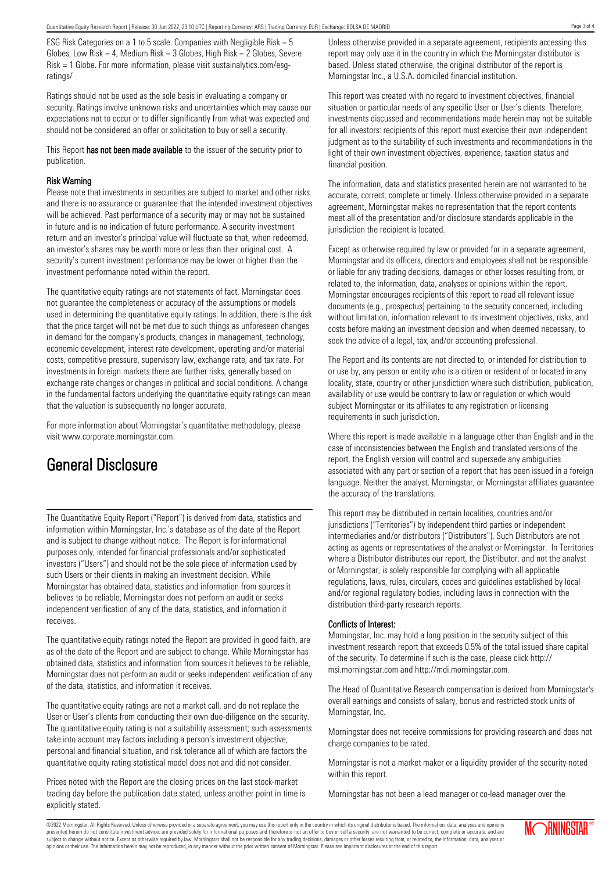ESG Risk Categories on a 1 to 5 scale. Companies with Negligible Risk = 5 Globes, Low Risk = 4, Medium Risk =  $3$  Globes, High Risk =  $2$  Globes, Severe Risk = 1 Globe. For more information, please visit sustainalytics.com/esgratings/

Ratings should not be used as the sole basis in evaluating a company or security. Ratings involve unknown risks and uncertainties which may cause our expectations not to occur or to differ significantly from what was expected and should not be considered an offer or solicitation to buy or sell a security.

This Report has not been made available to the issuer of the security prior to publication.

#### Risk Warning

Please note that investments in securities are subject to market and other risks and there is no assurance or guarantee that the intended investment objectives will be achieved. Past performance of a security may or may not be sustained in future and is no indication of future performance. A security investment return and an investor's principal value will fluctuate so that, when redeemed, an investor's shares may be worth more or less than their original cost. A security's current investment performance may be lower or higher than the investment performance noted within the report.

The quantitative equity ratings are not statements of fact. Morningstar does not guarantee the completeness or accuracy of the assumptions or models used in determining the quantitative equity ratings. In addition, there is the risk that the price target will not be met due to such things as unforeseen changes in demand for the company's products, changes in management, technology, economic development, interest rate development, operating and/or material costs, competitive pressure, supervisory law, exchange rate, and tax rate. For investments in foreign markets there are further risks, generally based on exchange rate changes or changes in political and social conditions. A change in the fundamental factors underlying the quantitative equity ratings can mean that the valuation is subsequently no longer accurate.

For more information about Morningstar's quantitative methodology, please visit www.corporate.morningstar.com.

### General Disclosure

The Quantitative Equity Report ("Report") is derived from data, statistics and information within Morningstar, Inc.'s database as of the date of the Report and is subject to change without notice. The Report is for informational purposes only, intended for financial professionals and/or sophisticated investors ("Users") and should not be the sole piece of information used by such Users or their clients in making an investment decision. While Morningstar has obtained data, statistics and information from sources it believes to be reliable, Morningstar does not perform an audit or seeks independent verification of any of the data, statistics, and information it receives.

The quantitative equity ratings noted the Report are provided in good faith, are as of the date of the Report and are subject to change. While Morningstar has obtained data, statistics and information from sources it believes to be reliable, Morningstar does not perform an audit or seeks independent verification of any of the data, statistics, and information it receives.

The quantitative equity ratings are not a market call, and do not replace the User or User's clients from conducting their own due-diligence on the security. The quantitative equity rating is not a suitability assessment; such assessments take into account may factors including a person's investment objective, personal and financial situation, and risk tolerance all of which are factors the quantitative equity rating statistical model does not and did not consider.

Prices noted with the Report are the closing prices on the last stock-market trading day before the publication date stated, unless another point in time is explicitly stated.

Unless otherwise provided in a separate agreement, recipients accessing this report may only use it in the country in which the Morningstar distributor is based. Unless stated otherwise, the original distributor of the report is Morningstar Inc., a U.S.A. domiciled financial institution.

This report was created with no regard to investment objectives, financial situation or particular needs of any specific User or User's clients. Therefore, investments discussed and recommendations made herein may not be suitable for all investors: recipients of this report must exercise their own independent judgment as to the suitability of such investments and recommendations in the light of their own investment objectives, experience, taxation status and financial position.

The information, data and statistics presented herein are not warranted to be accurate, correct, complete or timely. Unless otherwise provided in a separate agreement, Morningstar makes no representation that the report contents meet all of the presentation and/or disclosure standards applicable in the jurisdiction the recipient is located.

Except as otherwise required by law or provided for in a separate agreement, Morningstar and its officers, directors and employees shall not be responsible or liable for any trading decisions, damages or other losses resulting from, or related to, the information, data, analyses or opinions within the report. Morningstar encourages recipients of this report to read all relevant issue documents (e.g., prospectus) pertaining to the security concerned, including without limitation, information relevant to its investment objectives, risks, and costs before making an investment decision and when deemed necessary, to seek the advice of a legal, tax, and/or accounting professional.

The Report and its contents are not directed to, or intended for distribution to or use by, any person or entity who is a citizen or resident of or located in any locality, state, country or other jurisdiction where such distribution, publication, availability or use would be contrary to law or regulation or which would subject Morningstar or its affiliates to any registration or licensing requirements in such jurisdiction.

Where this report is made available in a language other than English and in the case of inconsistencies between the English and translated versions of the report, the English version will control and supersede any ambiguities associated with any part or section of a report that has been issued in a foreign language. Neither the analyst, Morningstar, or Morningstar affiliates guarantee the accuracy of the translations.

This report may be distributed in certain localities, countries and/or jurisdictions ("Territories") by independent third parties or independent intermediaries and/or distributors ("Distributors"). Such Distributors are not acting as agents or representatives of the analyst or Morningstar. In Territories where a Distributor distributes our report, the Distributor, and not the analyst or Morningstar, is solely responsible for complying with all applicable regulations, laws, rules, circulars, codes and guidelines established by local and/or regional regulatory bodies, including laws in connection with the distribution third-party research reports.

#### Conflicts of Interest:

Morningstar, Inc. may hold a long position in the security subject of this investment research report that exceeds 0.5% of the total issued share capital of the security. To determine if such is the case, please click http:// msi.morningstar.com and http://mdi.morningstar.com.

The Head of Quantitative Research compensation is derived from Morningstar's overall earnings and consists of salary, bonus and restricted stock units of Morningstar, Inc.

Morningstar does not receive commissions for providing research and does not charge companies to be rated.

Morningstar is not a market maker or a liquidity provider of the security noted within this report.

Morningstar has not been a lead manager or co-lead manager over the

Page 3 of 4

©2022 Morningstar. All Rights Reserved. Unless otherwise provided in a separate agreement, you may use this report only in the country in which its original distributor is based. The information, data, analyses and opinions presented herein do not constitute investment advice; are provided solely for informational purposes and therefore is not an offer to buy or sell a security; are not warranted to be correct, complete or accurate; and are subject to change without notice. Except as otherwise required by law, Morningstar shall not be responsible for any trading decisions, damages or other losses resulting from, or related to, the information, data, analyses or opinions or their use. The information herein may not be reproduced, in any manner without the prior written consent of Morningstar. Please see important disclosures at the end of this report.